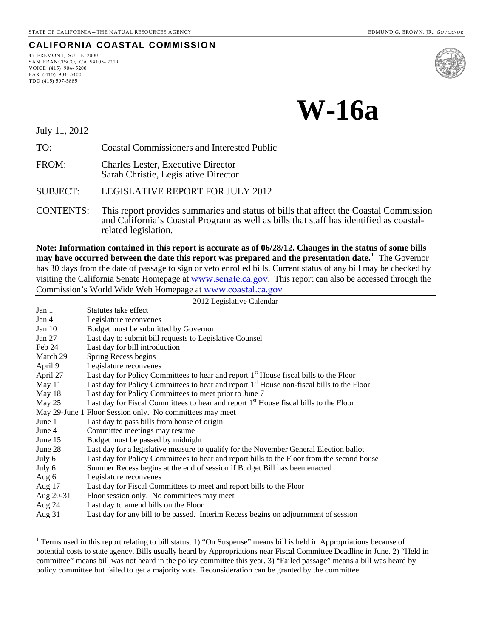#### **CALIFORNIA COASTAL COMMISSION**

45 FREMONT, SUITE 2000 SAN FRANCISCO, CA 94105- 2219 VOICE (415) 904- 5200 FAX ( 415) 904- 5400 TDD (415) 597-5885



**W-16a**

July 11, 2012

 $\overline{a}$ 

TO: Coastal Commissioners and Interested Public

FROM: Charles Lester, Executive Director Sarah Christie, Legislative Director

SUBJECT: LEGISLATIVE REPORT FOR JULY 2012

CONTENTS: This report provides summaries and status of bills that affect the Coastal Commission and California's Coastal Program as well as bills that staff has identified as coastalrelated legislation.

**Note: Information contained in this report is accurate as of 06/28/12. Changes in the status of some bills may have occurred between the date this report was prepared and the presentation date.[1](#page-0-0)** The Governor has 30 days from the date of passage to sign or veto enrolled bills. Current status of any bill may be checked by visiting the California Senate Homepage at [www.senate.ca.gov](http://www.senate.ca.gov/). This report can also be accessed through the Commission's World Wide Web Homepage at [www.coastal.ca.gov](http://www.coastal.ca.gov/)

| 2012 Legislative Calendar                                |                                                                                                       |  |  |
|----------------------------------------------------------|-------------------------------------------------------------------------------------------------------|--|--|
| Jan 1                                                    | Statutes take effect                                                                                  |  |  |
| Jan 4                                                    | Legislature reconvenes                                                                                |  |  |
| Jan $10$                                                 | Budget must be submitted by Governor                                                                  |  |  |
| Jan $27$                                                 | Last day to submit bill requests to Legislative Counsel                                               |  |  |
| Feb 24                                                   | Last day for bill introduction                                                                        |  |  |
| March 29                                                 | Spring Recess begins                                                                                  |  |  |
| April 9                                                  | Legislature reconvenes                                                                                |  |  |
| April 27                                                 | Last day for Policy Committees to hear and report 1 <sup>st</sup> House fiscal bills to the Floor     |  |  |
| May 11                                                   | Last day for Policy Committees to hear and report 1 <sup>st</sup> House non-fiscal bills to the Floor |  |  |
| May 18                                                   | Last day for Policy Committees to meet prior to June 7                                                |  |  |
| May $25$                                                 | Last day for Fiscal Committees to hear and report 1 <sup>st</sup> House fiscal bills to the Floor     |  |  |
| May 29-June 1 Floor Session only. No committees may meet |                                                                                                       |  |  |
| June 1                                                   | Last day to pass bills from house of origin                                                           |  |  |
| June 4                                                   | Committee meetings may resume                                                                         |  |  |
| June 15                                                  | Budget must be passed by midnight                                                                     |  |  |
| June 28                                                  | Last day for a legislative measure to qualify for the November General Election ballot                |  |  |
| July 6                                                   | Last day for Policy Committees to hear and report bills to the Floor from the second house            |  |  |
| July 6                                                   | Summer Recess begins at the end of session if Budget Bill has been enacted                            |  |  |
| Aug 6                                                    | Legislature reconvenes                                                                                |  |  |
| Aug $17$                                                 | Last day for Fiscal Committees to meet and report bills to the Floor                                  |  |  |
| Aug 20-31                                                | Floor session only. No committees may meet                                                            |  |  |
| Aug 24                                                   | Last day to amend bills on the Floor                                                                  |  |  |
| Aug $31$                                                 | Last day for any bill to be passed. Interim Recess begins on adjournment of session                   |  |  |
|                                                          |                                                                                                       |  |  |

<span id="page-0-0"></span><sup>&</sup>lt;sup>1</sup> Terms used in this report relating to bill status. 1) "On Suspense" means bill is held in Appropriations because of potential costs to state agency. Bills usually heard by Appropriations near Fiscal Committee Deadline in June. 2) "Held in committee" means bill was not heard in the policy committee this year. 3) "Failed passage" means a bill was heard by policy committee but failed to get a majority vote. Reconsideration can be granted by the committee.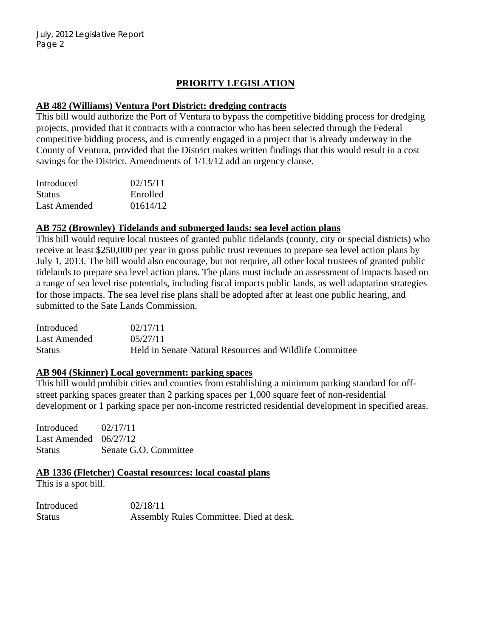# **PRIORITY LEGISLATION**

## **AB 482 (Williams) Ventura Port District: dredging contracts**

This bill would authorize the Port of Ventura to bypass the competitive bidding process for dredging projects, provided that it contracts with a contractor who has been selected through the Federal competitive bidding process, and is currently engaged in a project that is already underway in the County of Ventura, provided that the District makes written findings that this would result in a cost savings for the District. Amendments of 1/13/12 add an urgency clause.

| Introduced    | 02/15/11 |
|---------------|----------|
| <b>Status</b> | Enrolled |
| Last Amended  | 01614/12 |

## **AB 752 (Brownley) Tidelands and submerged lands: sea level action plans**

This bill would require local trustees of granted public tidelands (county, city or special districts) who receive at least \$250,000 per year in gross public trust revenues to prepare sea level action plans by July 1, 2013. The bill would also encourage, but not require, all other local trustees of granted public tidelands to prepare sea level action plans. The plans must include an assessment of impacts based on a range of sea level rise potentials, including fiscal impacts public lands, as well adaptation strategies for those impacts. The sea level rise plans shall be adopted after at least one public hearing, and submitted to the Sate Lands Commission.

| Introduced    | 02/17/11                                                |
|---------------|---------------------------------------------------------|
| Last Amended  | 05/27/11                                                |
| <b>Status</b> | Held in Senate Natural Resources and Wildlife Committee |

#### **AB 904 (Skinner) Local government: parking spaces**

This bill would prohibit cities and counties from establishing a minimum parking standard for offstreet parking spaces greater than 2 parking spaces per 1,000 square feet of non-residential development or 1 parking space per non-income restricted residential development in specified areas.

Introduced 02/17/11 Last Amended 06/27/12 Status Senate G.O. Committee

**AB 1336 (Fletcher) Coastal resources: local coastal plans**

This is a spot bill.

| Introduced    | 02/18/11                                |
|---------------|-----------------------------------------|
| <b>Status</b> | Assembly Rules Committee. Died at desk. |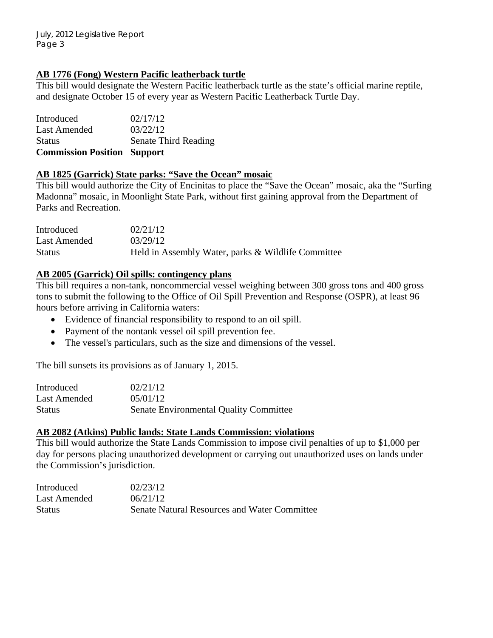### **AB 1776 (Fong) Western Pacific leatherback turtle**

This bill would designate the Western Pacific leatherback turtle as the state's official marine reptile, and designate October 15 of every year as Western Pacific Leatherback Turtle Day.

| Introduced                         | 02/17/12             |
|------------------------------------|----------------------|
| <b>Last Amended</b>                | 03/22/12             |
| <b>Status</b>                      | Senate Third Reading |
| <b>Commission Position Support</b> |                      |

#### **AB 1825 (Garrick) State parks: "Save the Ocean" mosaic**

This bill would authorize the City of Encinitas to place the "Save the Ocean" mosaic, aka the "Surfing Madonna" mosaic, in Moonlight State Park, without first gaining approval from the Department of Parks and Recreation.

| Introduced    | 02/21/12                                           |
|---------------|----------------------------------------------------|
| Last Amended  | 03/29/12                                           |
| <b>Status</b> | Held in Assembly Water, parks & Wildlife Committee |

## **AB 2005 (Garrick) Oil spills: contingency plans**

This bill requires a non-tank, noncommercial vessel weighing between 300 gross tons and 400 gross tons to submit the following to the Office of Oil Spill Prevention and Response (OSPR), at least 96 hours before arriving in California waters:

- Evidence of financial responsibility to respond to an oil spill.
- Payment of the nontank vessel oil spill prevention fee.
- The vessel's particulars, such as the size and dimensions of the vessel.

The bill sunsets its provisions as of January 1, 2015.

| Introduced    | 02/21/12                                      |
|---------------|-----------------------------------------------|
| Last Amended  | 05/01/12                                      |
| <b>Status</b> | <b>Senate Environmental Quality Committee</b> |

### **AB 2082 (Atkins) Public lands: State Lands Commission: violations**

This bill would authorize the State Lands Commission to impose civil penalties of up to \$1,000 per day for persons placing unauthorized development or carrying out unauthorized uses on lands under the Commission's jurisdiction.

| Introduced    | 02/23/12                                            |
|---------------|-----------------------------------------------------|
| Last Amended  | 06/21/12                                            |
| <b>Status</b> | <b>Senate Natural Resources and Water Committee</b> |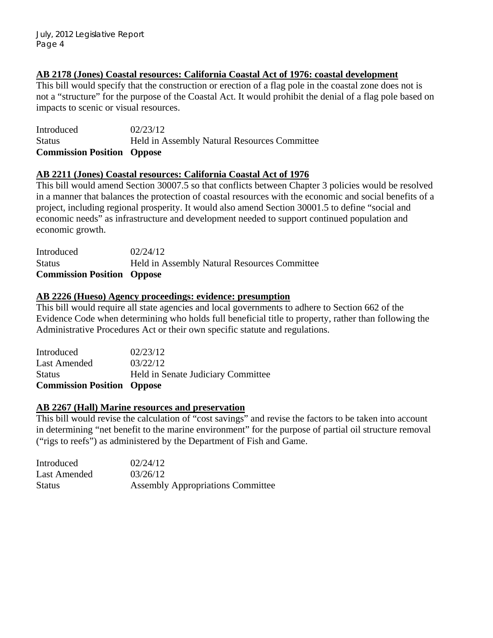#### **AB 2178 (Jones) Coastal resources: California Coastal Act of 1976: coastal development**

This bill would specify that the construction or erection of a flag pole in the coastal zone does not is not a "structure" for the purpose of the Coastal Act. It would prohibit the denial of a flag pole based on impacts to scenic or visual resources.

Introduced 02/23/12 Status Held in Assembly Natural Resources Committee **Commission Position Oppose** 

#### **AB 2211 (Jones) Coastal resources: California Coastal Act of 1976**

This bill would amend Section 30007.5 so that conflicts between Chapter 3 policies would be resolved in a manner that balances the protection of coastal resources with the economic and social benefits of a project, including regional prosperity. It would also amend Section 30001.5 to define "social and economic needs" as infrastructure and development needed to support continued population and economic growth.

| <b>Commission Position Oppose</b> |                                                     |
|-----------------------------------|-----------------------------------------------------|
| <b>Status</b>                     | <b>Held in Assembly Natural Resources Committee</b> |
| Introduced                        | 02/24/12                                            |

#### **AB 2226 (Hueso) Agency proceedings: evidence: presumption**

This bill would require all state agencies and local governments to adhere to Section 662 of the Evidence Code when determining who holds full beneficial title to property, rather than following the Administrative Procedures Act or their own specific statute and regulations.

| <b>Commission Position Oppose</b> |                                    |
|-----------------------------------|------------------------------------|
| <b>Status</b>                     | Held in Senate Judiciary Committee |
| <b>Last Amended</b>               | 03/22/12                           |
| Introduced                        | 02/23/12                           |

#### **AB 2267 (Hall) Marine resources and preservation**

This bill would revise the calculation of "cost savings" and revise the factors to be taken into account in determining "net benefit to the marine environment" for the purpose of partial oil structure removal ("rigs to reefs") as administered by the Department of Fish and Game.

| Introduced    | 02/24/12                                 |
|---------------|------------------------------------------|
| Last Amended  | 03/26/12                                 |
| <b>Status</b> | <b>Assembly Appropriations Committee</b> |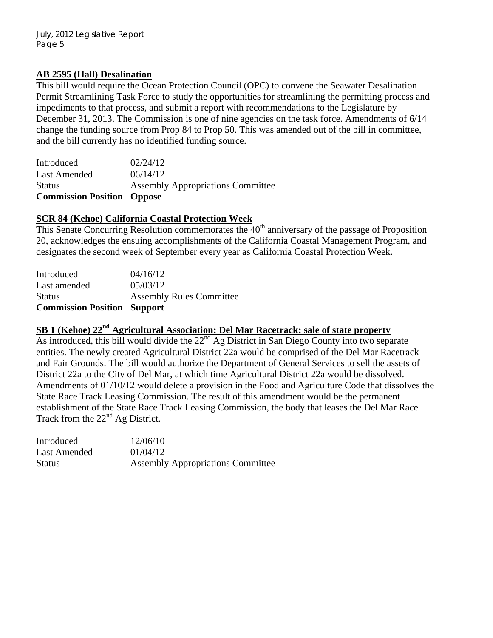#### **AB 2595 (Hall) Desalination**

This bill would require the Ocean Protection Council (OPC) to convene the Seawater Desalination Permit Streamlining Task Force to study the opportunities for streamlining the permitting process and impediments to that process, and submit a report with recommendations to the Legislature by December 31, 2013. The Commission is one of nine agencies on the task force. Amendments of 6/14 change the funding source from Prop 84 to Prop 50. This was amended out of the bill in committee, and the bill currently has no identified funding source.

| <b>Commission Position Oppose</b> |                                          |
|-----------------------------------|------------------------------------------|
| <b>Status</b>                     | <b>Assembly Appropriations Committee</b> |
| <b>Last Amended</b>               | 06/14/12                                 |
| Introduced                        | 02/24/12                                 |

## **SCR 84 (Kehoe) California Coastal Protection Week**

This Senate Concurring Resolution commemorates the  $40<sup>th</sup>$  anniversary of the passage of Proposition 20, acknowledges the ensuing accomplishments of the California Coastal Management Program, and designates the second week of September every year as California Coastal Protection Week.

| <b>Commission Position Support</b> |                                 |
|------------------------------------|---------------------------------|
| <b>Status</b>                      | <b>Assembly Rules Committee</b> |
| Last amended                       | 05/03/12                        |
| Introduced                         | 04/16/12                        |

# **SB 1 (Kehoe) 22nd Agricultural Association: Del Mar Racetrack: sale of state property**

As introduced, this bill would divide the  $22<sup>nd</sup>$  Ag District in San Diego County into two separate entities. The newly created Agricultural District 22a would be comprised of the Del Mar Racetrack and Fair Grounds. The bill would authorize the Department of General Services to sell the assets of District 22a to the City of Del Mar, at which time Agricultural District 22a would be dissolved. Amendments of 01/10/12 would delete a provision in the Food and Agriculture Code that dissolves the State Race Track Leasing Commission. The result of this amendment would be the permanent establishment of the State Race Track Leasing Commission, the body that leases the Del Mar Race Track from the  $22<sup>nd</sup>$  Ag District.

| Introduced    | 12/06/10                                 |
|---------------|------------------------------------------|
| Last Amended  | 01/04/12                                 |
| <b>Status</b> | <b>Assembly Appropriations Committee</b> |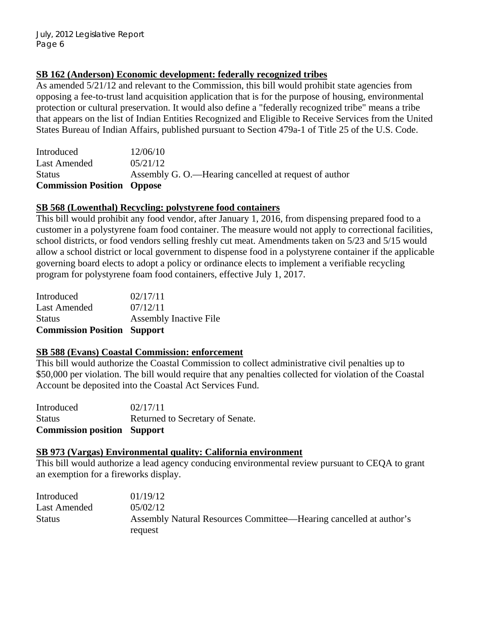## **SB 162 (Anderson) Economic development: federally recognized tribes**

As amended  $5/21/12$  and relevant to the Commission, this bill would prohibit state agencies from opposing a fee-to-trust land acquisition application that is for the purpose of housing, environmental protection or cultural preservation. It would also define a "federally recognized tribe" means a tribe that appears on the list of Indian Entities Recognized and Eligible to Receive Services from the United States Bureau of Indian Affairs, published pursuant to Section 479a-1 of Title 25 of the U.S. Code.

| <b>Commission Position Oppose</b> |                                                       |
|-----------------------------------|-------------------------------------------------------|
| <b>Status</b>                     | Assembly G. O.—Hearing cancelled at request of author |
| Last Amended                      | 0.5/21/12                                             |
| Introduced                        | 12/06/10                                              |

## **SB 568 (Lowenthal) Recycling: polystyrene food containers**

This bill would prohibit any food vendor, after January 1, 2016, from dispensing prepared food to a customer in a polystyrene foam food container. The measure would not apply to correctional facilities, school districts, or food vendors selling freshly cut meat. Amendments taken on 5/23 and 5/15 would allow a school district or local government to dispense food in a polystyrene container if the applicable governing board elects to adopt a policy or ordinance elects to implement a verifiable recycling program for polystyrene foam food containers, effective July 1, 2017.

| <b>Commission Position Support</b> |
|------------------------------------|
| <b>Assembly Inactive File</b>      |
| 07/12/11                           |
| 02/17/11                           |
|                                    |

## **SB 588 (Evans) Coastal Commission: enforcement**

This bill would authorize the Coastal Commission to collect administrative civil penalties up to \$50,000 per violation. The bill would require that any penalties collected for violation of the Coastal Account be deposited into the Coastal Act Services Fund.

| <b>Commission position Support</b> |                                  |
|------------------------------------|----------------------------------|
| Status                             | Returned to Secretary of Senate. |
| Introduced                         | 02/17/11                         |

#### **SB 973 (Vargas) Environmental quality: California environment**

This bill would authorize a lead agency conducing environmental review pursuant to CEQA to grant an exemption for a fireworks display.

| Introduced    | 01/19/12                                                           |
|---------------|--------------------------------------------------------------------|
| Last Amended  | 0.5/02/12                                                          |
| <b>Status</b> | Assembly Natural Resources Committee—Hearing cancelled at author's |
|               | request                                                            |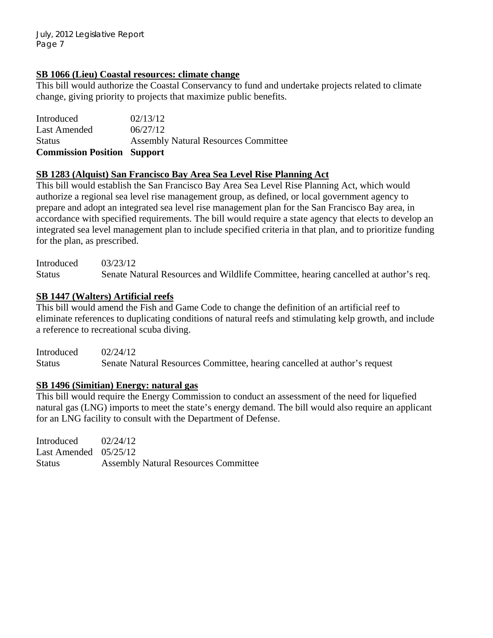### **SB 1066 (Lieu) Coastal resources: climate change**

This bill would authorize the Coastal Conservancy to fund and undertake projects related to climate change, giving priority to projects that maximize public benefits.

| Introduced                         | 02/13/12                                    |
|------------------------------------|---------------------------------------------|
| <b>Last Amended</b>                | 06/27/12                                    |
| <b>Status</b>                      | <b>Assembly Natural Resources Committee</b> |
| <b>Commission Position Support</b> |                                             |

## **SB 1283 (Alquist) San Francisco Bay Area Sea Level Rise Planning Act**

This bill would establish the San Francisco Bay Area Sea Level Rise Planning Act, which would authorize a regional sea level rise management group, as defined, or local government agency to prepare and adopt an integrated sea level rise management plan for the San Francisco Bay area, in accordance with specified requirements. The bill would require a state agency that elects to develop an integrated sea level management plan to include specified criteria in that plan, and to prioritize funding for the plan, as prescribed.

Introduced 03/23/12 Status Senate Natural Resources and Wildlife Committee, hearing cancelled at author's req.

## **SB 1447 (Walters) Artificial reefs**

This bill would amend the Fish and Game Code to change the definition of an artificial reef to eliminate references to duplicating conditions of natural reefs and stimulating kelp growth, and include a reference to recreational scuba diving.

Introduced 02/24/12 Status Senate Natural Resources Committee, hearing cancelled at author's request

## **SB 1496 (Simitian) Energy: natural gas**

This bill would require the Energy Commission to conduct an assessment of the need for liquefied natural gas (LNG) imports to meet the state's energy demand. The bill would also require an applicant for an LNG facility to consult with the Department of Defense.

Introduced 02/24/12 Last Amended 05/25/12 Status Assembly Natural Resources Committee